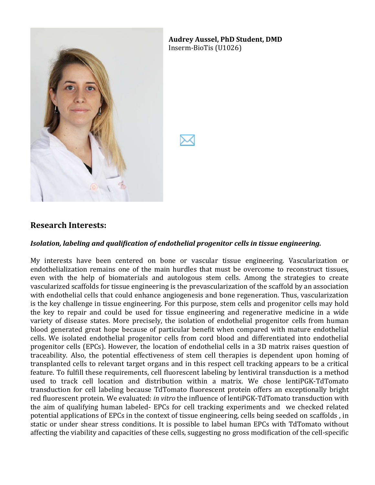

**Audrey'Aussel,'PhD Student,'DMD'** Inserm-BioTis (U1026)

#### **Research'Interests:**

#### *Isolation,\*labeling\*and\*qualification\*of\*endothelial\*progenitor cells\*in\*tissue\*engineering.*

My interests have been centered on bone or vascular tissue engineering. Vascularization or endothelialization, remains, one, of, the, main, hurdles, that, must, be, overcome, to, reconstruct, tissues, even, with the help of biomaterials and autologous stem, cells. Among the strategies to create vascularized, scaffolds, for tissue, engineering is the prevascularization of the scaffold by an association with endothelial cells that could enhance angiogenesis and bone regeneration. Thus, vascularization is, the, key, challenge, in tissue, engineering. For this purpose, stem, cells, and progenitor cells, may, hold the, key to repair and could be used for tissue engineering and regenerative medicine in a wide variety of disease states. More precisely, the isolation of endothelial progenitor cells from human blood generated great hope because of particular benefit when compared with mature endothelial cells. We isolated endothelial progenitor cells from cord blood and differentiated into endothelial progenitor cells (EPCs). However, the location of endothelial cells in a 3D matrix raises question of traceability. Also, the potential effectiveness of stem cell therapies is dependent upon homing of transplanted cells to relevant target organs and in this respect cell tracking appears to be a critical feature. To fulfill these requirements, cell fluorescent labeling by lentiviral transduction is a method used to track cell location and distribution within a matrix. We chose lentiPGK-TdTomato transduction, for, cell, labeling because, TdTomato, fluorescent, protein, offers, an, exceptionally bright red,fluorescent,protein. We,evaluated: *in vitro* the influence of lentiPGK-TdTomato transduction with the aim of qualifying human labeled- EPCs for cell tracking experiments and we checked related potential applications of EPCs in the context of tissue engineering, cells being seeded on scaffolds, in static or under shear stress conditions. It is possible to label human EPCs with TdTomato without affecting the viability and capacities of these cells, suggesting no gross modification of the cell-specific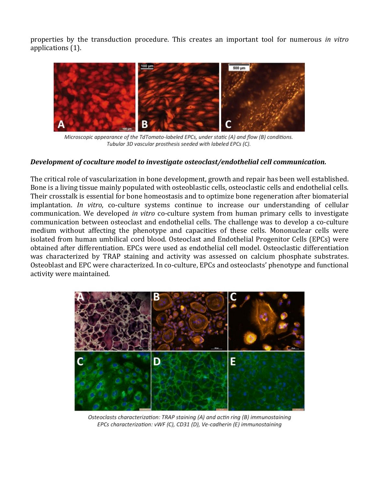properties, by, the, transduction, procedure. This, creates, an, important, tool, for, numerous, *in vitro* applications (1).



Microscopic appearance of the TdTomato-labeled EPCs, under static (A) and flow (B) conditions. Tubular 3D vascular prosthesis seeded with labeled EPCs (C).

#### *Development\*of\*coculture\*model\*to\*investigate\*osteoclast/endothelial\*cell\*communication.*

The critical role of vascularization in bone development, growth and repair has been well established. Bone is a living tissue mainly populated with osteoblastic cells, osteoclastic cells and endothelial cells. Their crosstalk is essential for bone homeostasis and to optimize bone regeneration after biomaterial implantation. *In vitro*, co-culture systems continue to increase our understanding of cellular communication. We developed *in vitro* co-culture system from human primary cells to investigate communication between osteoclast and endothelial cells. The challenge was to develop a co-culture medium without affecting the phenotype and capacities of these cells. Mononuclear cells were isolated from human umbilical cord blood. Osteoclast and Endothelial Progenitor Cells (EPCs) were obtained after differentiation. EPCs were used as endothelial cell model. Osteoclastic differentiation was characterized by TRAP staining and activity was assessed on calcium phosphate substrates. Osteoblast and EPC were characterized. In co-culture, EPCs and osteoclasts' phenotype and functional activity were maintained.



Osteoclasts characterization: TRAP staining (A) and actin ring (B) immunostaining EPCs characterization: vWF (C), CD31 (D), Ve-cadherin (E) immunostaining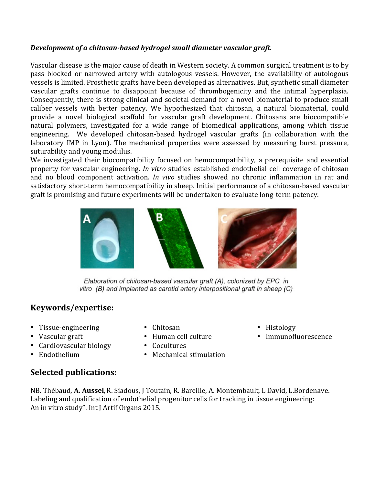#### *Development of a chitosan-based hydrogel small diameter vascular graft.*

Vascular, disease is the major cause of death in Western society. A common surgical treatment is to by pass, blocked, or, narrowed, artery, with, autologous, vessels. However, the, availability of, autologous, vessels is limited. Prosthetic grafts have been developed as alternatives. But, synthetic small diameter vascular grafts continue to disappoint because of thrombogenicity and the intimal hyperplasia. Consequently, there is strong clinical and societal demand for a novel biomaterial to produce small caliber, vessels, with, better, patency. We, hypothesized that chitosan, a natural biomaterial, could provide a novel biological scaffold for vascular graft development. Chitosans are biocompatible natural, polymers, investigated, for, a, wide, range, of, biomedical, applications, among, which, tissue, engineering. We developed chitosan-based hydrogel vascular grafts (in collaboration with the laboratory, IMP, in, Lyon). The mechanical properties were assessed by measuring burst pressure, suturability and young modulus.

We investigated their biocompatibility focused on hemocompatibility, a prerequisite and essential property for vascular engineering. *In vitro* studies established endothelial cell coverage of chitosan and, no, blood, component, activation. *In vivo* studies, showed, no, chronic, inflammation, in, rat, and, satisfactory, short-term, hemocompatibility, in sheep. Initial performance of a chitosan-based vascular graft is promising and future experiments will be undertaken to evaluate long-term patency.



Elaboration of chitosan-based vascular graft (A), colonized by EPC in vitro (B) and implanted as carotid artery interpositional graft in sheep (C)

# **Keywords/expertise:**

- Tissue-engineering
- Vascular graft
- Cardiovascular biology
- Endothelium
- Chitosan
- Human cell culture
- Cocultures
- Mechanical stimulation
- Histology
- Immunofluorescence

**Selected'publications:**

NB. Thébaud, A. Aussel, R. Siadous, J. Toutain, R. Bareille, A. Montembault, L. David, L. Bordenave. Labeling and qualification of endothelial progenitor cells for tracking in tissue engineering: An in vitro study". Int J Artif Organs 2015.